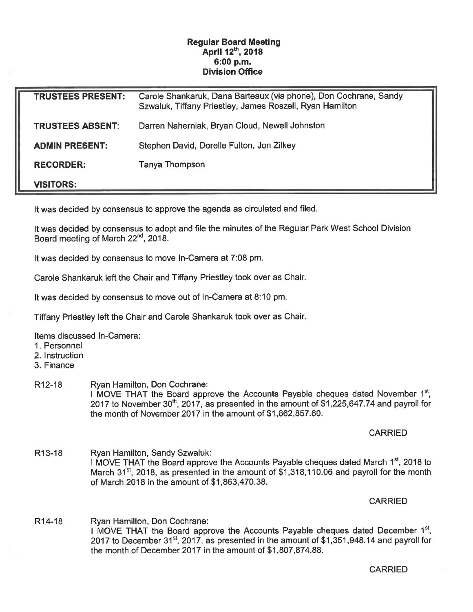## Regular Board Meeting April 12<sup>th</sup>, 2018 6:00 p.m. Division Office

| <b>TRUSTEES PRESENT:</b> | Carole Shankaruk, Dana Barteaux (via phone), Don Cochrane, Sandy<br>Szwaluk, Tiffany Priestley, James Roszell, Ryan Hamilton |
|--------------------------|------------------------------------------------------------------------------------------------------------------------------|
| <b>TRUSTEES ABSENT:</b>  | Darren Naherniak, Bryan Cloud, Newell Johnston                                                                               |
| <b>ADMIN PRESENT:</b>    | Stephen David, Dorelle Fulton, Jon Zilkey                                                                                    |
| <b>RECORDER:</b>         | Tanya Thompson                                                                                                               |
| <b>VISITORS:</b>         |                                                                                                                              |

It was decided by consensus to approve the agenda as circulated and filed.

It was decided by consensus to adopt and file the minutes of the Regular Park West School Division Board meeting of March 22<sup>nd</sup>, 2018.

It was decided by consensus to move In-Camera at 7:08 pm.

Carole Shankaruk left the Chair and Tiffany Priestley took over as Chair.

It was decided by consensus to move out of In-Camera at 8:10 pm.

Tiffany Priestley left the Chair and Carole Shankaruk took over as Chair

Items discussed In-Camera:

1. Personnel

2. Instruction

3. Finance

#### R12-18 Ryan Hamilton, Don Cochrane: I MOVE THAT the Board approve the Accounts Payable cheques dated November  $1<sup>st</sup>$ , 2017 to November 30<sup>th</sup>, 2017, as presented in the amount of \$1,225,647.74 and payroll for the month of November 2017 in the amount of \$1, 862, 857. 60.

### CARRIED

R13-18 Ryan Hamilton, Sandy Szwaluk: I MOVE THAT the Board approve the Accounts Payable cheques dated March 1<sup>st</sup>, 2018 to March 31<sup>st</sup>, 2018, as presented in the amount of  $$1,318,110.06$  and payroll for the month of March 2018 in the amount of \$1,863,470. 38.

### **CARRIED**

R14-18 Ryan Hamilton, Don Cochrane: I MOVE THAT the Board approve the Accounts Payable cheques dated December  $1<sup>st</sup>$ , 2017 to December 31<sup>st</sup>, 2017, as presented in the amount of \$1,351,948.14 and payroll for the month of December 2017 in the amount of \$1,807,874.88.

CARRIED